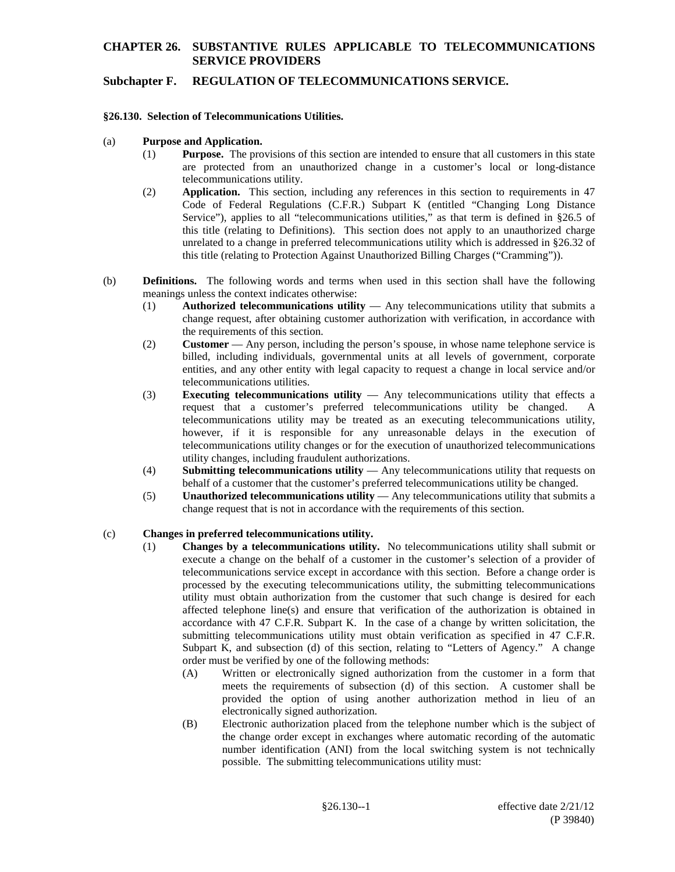## **Subchapter F. REGULATION OF TELECOMMUNICATIONS SERVICE.**

#### **§26.130. Selection of Telecommunications Utilities.**

#### (a) **Purpose and Application.**

- (1) **Purpose.** The provisions of this section are intended to ensure that all customers in this state are protected from an unauthorized change in a customer's local or long-distance telecommunications utility.
- (2) **Application.** This section, including any references in this section to requirements in 47 Code of Federal Regulations (C.F.R.) Subpart K (entitled "Changing Long Distance Service"), applies to all "telecommunications utilities," as that term is defined in §26.5 of this title (relating to Definitions). This section does not apply to an unauthorized charge unrelated to a change in preferred telecommunications utility which is addressed in §26.32 of this title (relating to Protection Against Unauthorized Billing Charges ("Cramming")).
- (b) **Definitions.** The following words and terms when used in this section shall have the following meanings unless the context indicates otherwise:
	- (1) **Authorized telecommunications utility** Any telecommunications utility that submits a change request, after obtaining customer authorization with verification, in accordance with the requirements of this section.
	- (2) **Customer** Any person, including the person's spouse, in whose name telephone service is billed, including individuals, governmental units at all levels of government, corporate entities, and any other entity with legal capacity to request a change in local service and/or telecommunications utilities.
	- (3) **Executing telecommunications utility** Any telecommunications utility that effects a request that a customer's preferred telecommunications utility be changed. A telecommunications utility may be treated as an executing telecommunications utility, however, if it is responsible for any unreasonable delays in the execution of telecommunications utility changes or for the execution of unauthorized telecommunications utility changes, including fraudulent authorizations.
	- (4) **Submitting telecommunications utility**  Any telecommunications utility that requests on behalf of a customer that the customer's preferred telecommunications utility be changed.
	- (5) **Unauthorized telecommunications utility** Any telecommunications utility that submits a change request that is not in accordance with the requirements of this section.

#### (c) **Changes in preferred telecommunications utility.**

- (1) **Changes by a telecommunications utility.** No telecommunications utility shall submit or execute a change on the behalf of a customer in the customer's selection of a provider of telecommunications service except in accordance with this section. Before a change order is processed by the executing telecommunications utility, the submitting telecommunications utility must obtain authorization from the customer that such change is desired for each affected telephone line(s) and ensure that verification of the authorization is obtained in accordance with 47 C.F.R. Subpart K. In the case of a change by written solicitation, the submitting telecommunications utility must obtain verification as specified in 47 C.F.R. Subpart K, and subsection (d) of this section, relating to "Letters of Agency." A change order must be verified by one of the following methods:
	- (A) Written or electronically signed authorization from the customer in a form that meets the requirements of subsection (d) of this section. A customer shall be provided the option of using another authorization method in lieu of an electronically signed authorization.
	- (B) Electronic authorization placed from the telephone number which is the subject of the change order except in exchanges where automatic recording of the automatic number identification (ANI) from the local switching system is not technically possible. The submitting telecommunications utility must: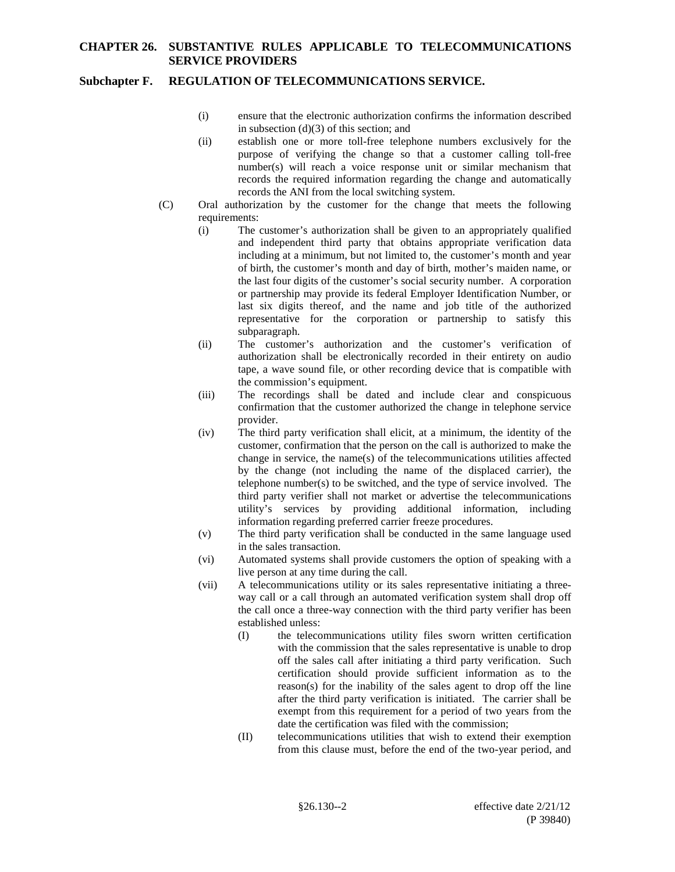## **Subchapter F. REGULATION OF TELECOMMUNICATIONS SERVICE.**

- (i) ensure that the electronic authorization confirms the information described in subsection (d)(3) of this section; and
- (ii) establish one or more toll-free telephone numbers exclusively for the purpose of verifying the change so that a customer calling toll-free number(s) will reach a voice response unit or similar mechanism that records the required information regarding the change and automatically records the ANI from the local switching system.
- (C) Oral authorization by the customer for the change that meets the following requirements:
	- (i) The customer's authorization shall be given to an appropriately qualified and independent third party that obtains appropriate verification data including at a minimum, but not limited to, the customer's month and year of birth, the customer's month and day of birth, mother's maiden name, or the last four digits of the customer's social security number. A corporation or partnership may provide its federal Employer Identification Number, or last six digits thereof, and the name and job title of the authorized representative for the corporation or partnership to satisfy this subparagraph.
	- (ii) The customer's authorization and the customer's verification of authorization shall be electronically recorded in their entirety on audio tape, a wave sound file, or other recording device that is compatible with the commission's equipment.
	- (iii) The recordings shall be dated and include clear and conspicuous confirmation that the customer authorized the change in telephone service provider.
	- (iv) The third party verification shall elicit, at a minimum, the identity of the customer, confirmation that the person on the call is authorized to make the change in service, the name(s) of the telecommunications utilities affected by the change (not including the name of the displaced carrier), the telephone number(s) to be switched, and the type of service involved. The third party verifier shall not market or advertise the telecommunications utility's services by providing additional information, including information regarding preferred carrier freeze procedures.
	- (v) The third party verification shall be conducted in the same language used in the sales transaction.
	- (vi) Automated systems shall provide customers the option of speaking with a live person at any time during the call.
	- (vii) A telecommunications utility or its sales representative initiating a threeway call or a call through an automated verification system shall drop off the call once a three-way connection with the third party verifier has been established unless:
		- (I) the telecommunications utility files sworn written certification with the commission that the sales representative is unable to drop off the sales call after initiating a third party verification. Such certification should provide sufficient information as to the reason(s) for the inability of the sales agent to drop off the line after the third party verification is initiated. The carrier shall be exempt from this requirement for a period of two years from the date the certification was filed with the commission;
		- (II) telecommunications utilities that wish to extend their exemption from this clause must, before the end of the two-year period, and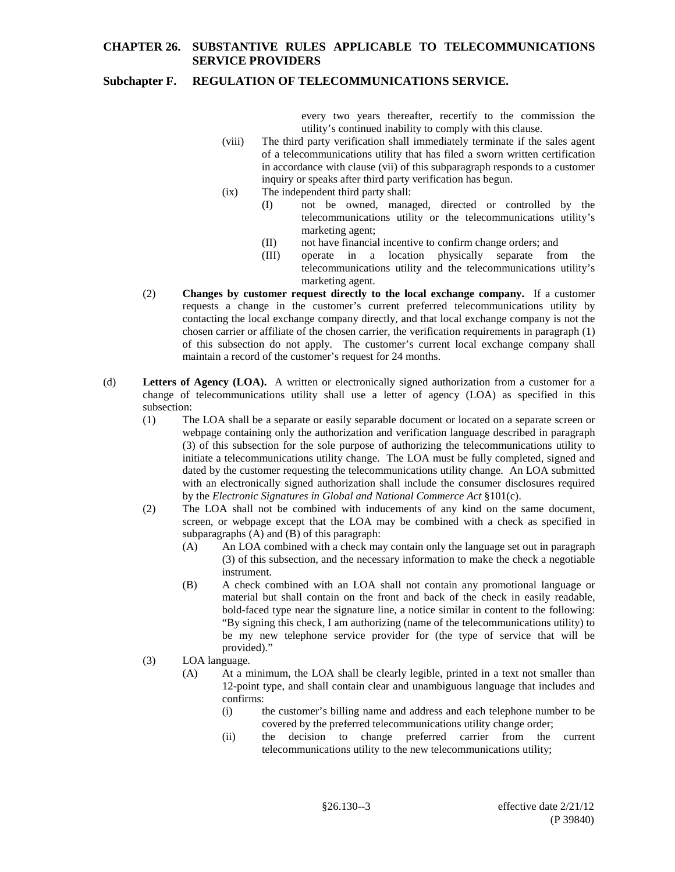## **Subchapter F. REGULATION OF TELECOMMUNICATIONS SERVICE.**

every two years thereafter, recertify to the commission the utility's continued inability to comply with this clause.

- (viii) The third party verification shall immediately terminate if the sales agent of a telecommunications utility that has filed a sworn written certification in accordance with clause (vii) of this subparagraph responds to a customer inquiry or speaks after third party verification has begun.
- (ix) The independent third party shall:
	- (I) not be owned, managed, directed or controlled by the telecommunications utility or the telecommunications utility's marketing agent;
	- (II) not have financial incentive to confirm change orders; and
	- (III) operate in a location physically separate from the telecommunications utility and the telecommunications utility's marketing agent.
- (2) **Changes by customer request directly to the local exchange company.** If a customer requests a change in the customer's current preferred telecommunications utility by contacting the local exchange company directly, and that local exchange company is not the chosen carrier or affiliate of the chosen carrier, the verification requirements in paragraph (1) of this subsection do not apply. The customer's current local exchange company shall maintain a record of the customer's request for 24 months.
- (d) **Letters of Agency (LOA).** A written or electronically signed authorization from a customer for a change of telecommunications utility shall use a letter of agency (LOA) as specified in this subsection:
	- (1) The LOA shall be a separate or easily separable document or located on a separate screen or webpage containing only the authorization and verification language described in paragraph (3) of this subsection for the sole purpose of authorizing the telecommunications utility to initiate a telecommunications utility change. The LOA must be fully completed, signed and dated by the customer requesting the telecommunications utility change. An LOA submitted with an electronically signed authorization shall include the consumer disclosures required by the *Electronic Signatures in Global and National Commerce Act* §101(c).
	- (2) The LOA shall not be combined with inducements of any kind on the same document, screen, or webpage except that the LOA may be combined with a check as specified in subparagraphs (A) and (B) of this paragraph:
		- (A) An LOA combined with a check may contain only the language set out in paragraph (3) of this subsection, and the necessary information to make the check a negotiable instrument.
		- (B) A check combined with an LOA shall not contain any promotional language or material but shall contain on the front and back of the check in easily readable, bold-faced type near the signature line, a notice similar in content to the following: "By signing this check, I am authorizing (name of the telecommunications utility) to be my new telephone service provider for (the type of service that will be provided)."
	- (3) LOA language.
		- (A) At a minimum, the LOA shall be clearly legible, printed in a text not smaller than 12-point type, and shall contain clear and unambiguous language that includes and confirms:
			- (i) the customer's billing name and address and each telephone number to be covered by the preferred telecommunications utility change order;
			- (ii) the decision to change preferred carrier from the current telecommunications utility to the new telecommunications utility;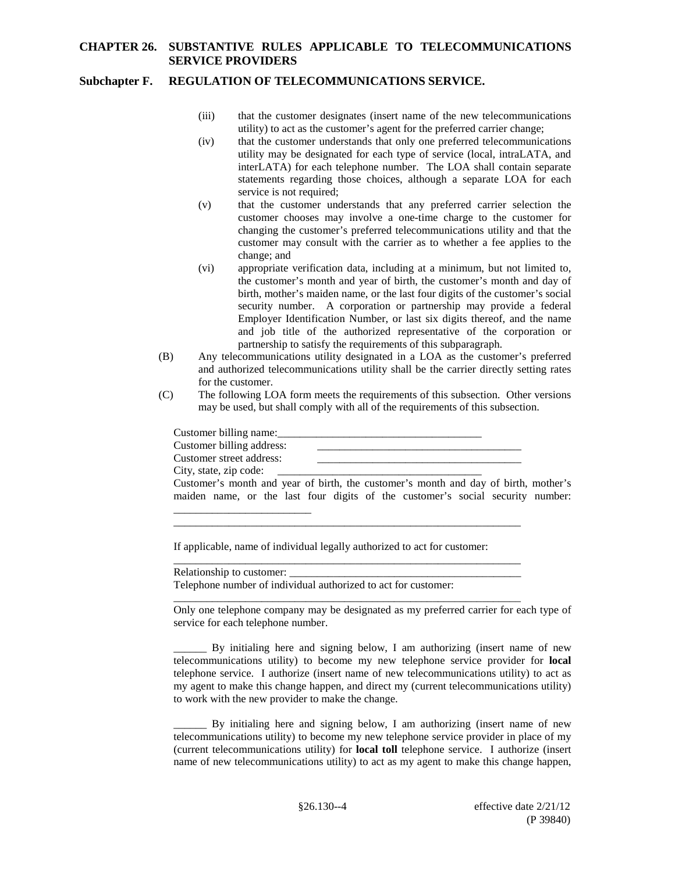### **Subchapter F. REGULATION OF TELECOMMUNICATIONS SERVICE.**

- (iii) that the customer designates (insert name of the new telecommunications utility) to act as the customer's agent for the preferred carrier change;
- (iv) that the customer understands that only one preferred telecommunications utility may be designated for each type of service (local, intraLATA, and interLATA) for each telephone number. The LOA shall contain separate statements regarding those choices, although a separate LOA for each service is not required;
- (v) that the customer understands that any preferred carrier selection the customer chooses may involve a one-time charge to the customer for changing the customer's preferred telecommunications utility and that the customer may consult with the carrier as to whether a fee applies to the change; and
- (vi) appropriate verification data, including at a minimum, but not limited to, the customer's month and year of birth, the customer's month and day of birth, mother's maiden name, or the last four digits of the customer's social security number. A corporation or partnership may provide a federal Employer Identification Number, or last six digits thereof, and the name and job title of the authorized representative of the corporation or partnership to satisfy the requirements of this subparagraph.
- (B) Any telecommunications utility designated in a LOA as the customer's preferred and authorized telecommunications utility shall be the carrier directly setting rates for the customer.
- (C) The following LOA form meets the requirements of this subsection. Other versions may be used, but shall comply with all of the requirements of this subsection.

| Customer billing name:                                                              |  |
|-------------------------------------------------------------------------------------|--|
| Customer billing address:                                                           |  |
| Customer street address:                                                            |  |
| City, state, zip code:                                                              |  |
| Customer's month and year of birth, the customer's month and day of birth, mother's |  |

If applicable, name of individual legally authorized to act for customer:

\_\_\_\_\_\_\_\_\_\_\_\_\_\_\_\_\_\_\_\_\_\_\_\_\_\_\_\_\_\_\_\_\_\_\_\_\_\_\_\_\_\_\_\_\_\_\_\_\_\_\_\_\_\_\_\_\_\_\_\_\_\_\_

\_\_\_\_\_\_\_\_\_\_\_\_\_\_\_\_\_\_\_\_\_\_\_\_\_

\_\_\_\_\_\_\_\_\_\_\_\_\_\_\_\_\_\_\_\_\_\_\_\_\_\_\_\_\_\_\_\_\_\_\_\_\_\_\_\_\_\_\_\_\_\_\_\_\_\_\_\_\_\_\_\_\_\_\_\_\_\_\_ Relationship to customer: Telephone number of individual authorized to act for customer:

\_\_\_\_\_\_\_\_\_\_\_\_\_\_\_\_\_\_\_\_\_\_\_\_\_\_\_\_\_\_\_\_\_\_\_\_\_\_\_\_\_\_\_\_\_\_\_\_\_\_\_\_\_\_\_\_\_\_\_\_\_\_\_ Only one telephone company may be designated as my preferred carrier for each type of service for each telephone number.

maiden name, or the last four digits of the customer's social security number:

\_\_\_\_\_\_ By initialing here and signing below, I am authorizing (insert name of new telecommunications utility) to become my new telephone service provider for **local** telephone service. I authorize (insert name of new telecommunications utility) to act as my agent to make this change happen, and direct my (current telecommunications utility) to work with the new provider to make the change.

By initialing here and signing below, I am authorizing (insert name of new telecommunications utility) to become my new telephone service provider in place of my (current telecommunications utility) for **local toll** telephone service. I authorize (insert name of new telecommunications utility) to act as my agent to make this change happen,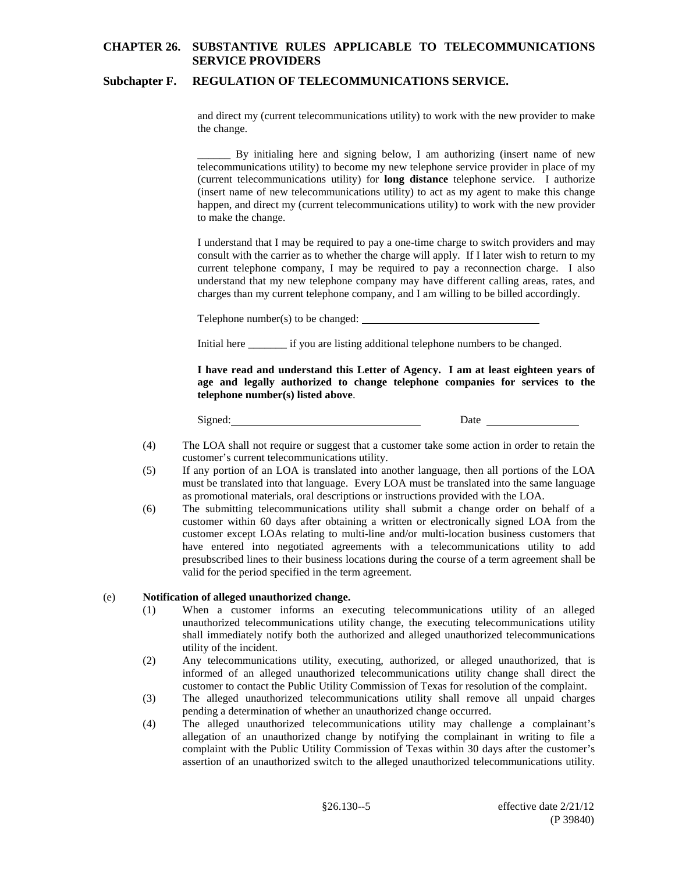### **Subchapter F. REGULATION OF TELECOMMUNICATIONS SERVICE.**

and direct my (current telecommunications utility) to work with the new provider to make the change.

\_\_\_\_\_\_ By initialing here and signing below, I am authorizing (insert name of new telecommunications utility) to become my new telephone service provider in place of my (current telecommunications utility) for **long distance** telephone service. I authorize (insert name of new telecommunications utility) to act as my agent to make this change happen, and direct my (current telecommunications utility) to work with the new provider to make the change.

I understand that I may be required to pay a one-time charge to switch providers and may consult with the carrier as to whether the charge will apply. If I later wish to return to my current telephone company, I may be required to pay a reconnection charge. I also understand that my new telephone company may have different calling areas, rates, and charges than my current telephone company, and I am willing to be billed accordingly.

Telephone number(s) to be changed:

Initial here \_\_\_\_\_\_\_ if you are listing additional telephone numbers to be changed.

**I have read and understand this Letter of Agency. I am at least eighteen years of age and legally authorized to change telephone companies for services to the telephone number(s) listed above**.

Signed: Date

- (4) The LOA shall not require or suggest that a customer take some action in order to retain the customer's current telecommunications utility.
- (5) If any portion of an LOA is translated into another language, then all portions of the LOA must be translated into that language. Every LOA must be translated into the same language as promotional materials, oral descriptions or instructions provided with the LOA.
- (6) The submitting telecommunications utility shall submit a change order on behalf of a customer within 60 days after obtaining a written or electronically signed LOA from the customer except LOAs relating to multi-line and/or multi-location business customers that have entered into negotiated agreements with a telecommunications utility to add presubscribed lines to their business locations during the course of a term agreement shall be valid for the period specified in the term agreement.

#### (e) **Notification of alleged unauthorized change.**

- (1) When a customer informs an executing telecommunications utility of an alleged unauthorized telecommunications utility change, the executing telecommunications utility shall immediately notify both the authorized and alleged unauthorized telecommunications utility of the incident.
- (2) Any telecommunications utility, executing, authorized, or alleged unauthorized, that is informed of an alleged unauthorized telecommunications utility change shall direct the customer to contact the Public Utility Commission of Texas for resolution of the complaint.
- (3) The alleged unauthorized telecommunications utility shall remove all unpaid charges pending a determination of whether an unauthorized change occurred.
- (4) The alleged unauthorized telecommunications utility may challenge a complainant's allegation of an unauthorized change by notifying the complainant in writing to file a complaint with the Public Utility Commission of Texas within 30 days after the customer's assertion of an unauthorized switch to the alleged unauthorized telecommunications utility.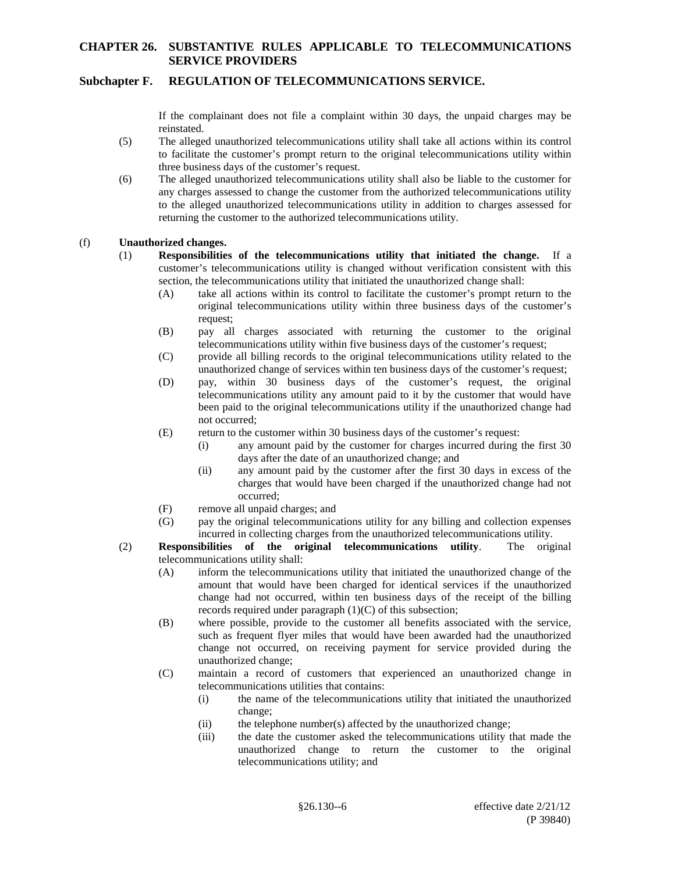### **Subchapter F. REGULATION OF TELECOMMUNICATIONS SERVICE.**

If the complainant does not file a complaint within 30 days, the unpaid charges may be reinstated.

- (5) The alleged unauthorized telecommunications utility shall take all actions within its control to facilitate the customer's prompt return to the original telecommunications utility within three business days of the customer's request.
- (6) The alleged unauthorized telecommunications utility shall also be liable to the customer for any charges assessed to change the customer from the authorized telecommunications utility to the alleged unauthorized telecommunications utility in addition to charges assessed for returning the customer to the authorized telecommunications utility.

#### (f) **Unauthorized changes.**

- (1) **Responsibilities of the telecommunications utility that initiated the change.** If a customer's telecommunications utility is changed without verification consistent with this section, the telecommunications utility that initiated the unauthorized change shall:
	- (A) take all actions within its control to facilitate the customer's prompt return to the original telecommunications utility within three business days of the customer's request;
	- (B) pay all charges associated with returning the customer to the original telecommunications utility within five business days of the customer's request;
	- (C) provide all billing records to the original telecommunications utility related to the unauthorized change of services within ten business days of the customer's request;
	- (D) pay, within 30 business days of the customer's request, the original telecommunications utility any amount paid to it by the customer that would have been paid to the original telecommunications utility if the unauthorized change had not occurred;
	- (E) return to the customer within 30 business days of the customer's request:
		- (i) any amount paid by the customer for charges incurred during the first 30 days after the date of an unauthorized change; and
		- (ii) any amount paid by the customer after the first 30 days in excess of the charges that would have been charged if the unauthorized change had not occurred;
	- (F) remove all unpaid charges; and
	- (G) pay the original telecommunications utility for any billing and collection expenses incurred in collecting charges from the unauthorized telecommunications utility.
- (2) **Responsibilities of the original telecommunications utility**. The original telecommunications utility shall:
	- (A) inform the telecommunications utility that initiated the unauthorized change of the amount that would have been charged for identical services if the unauthorized change had not occurred, within ten business days of the receipt of the billing records required under paragraph (1)(C) of this subsection;
	- (B) where possible, provide to the customer all benefits associated with the service*,* such as frequent flyer miles that would have been awarded had the unauthorized change not occurred, on receiving payment for service provided during the unauthorized change;
	- (C) maintain a record of customers that experienced an unauthorized change in telecommunications utilities that contains:
		- (i) the name of the telecommunications utility that initiated the unauthorized change;
		- (ii) the telephone number(s) affected by the unauthorized change;
		- (iii) the date the customer asked the telecommunications utility that made the unauthorized change to return the customer to the original telecommunications utility; and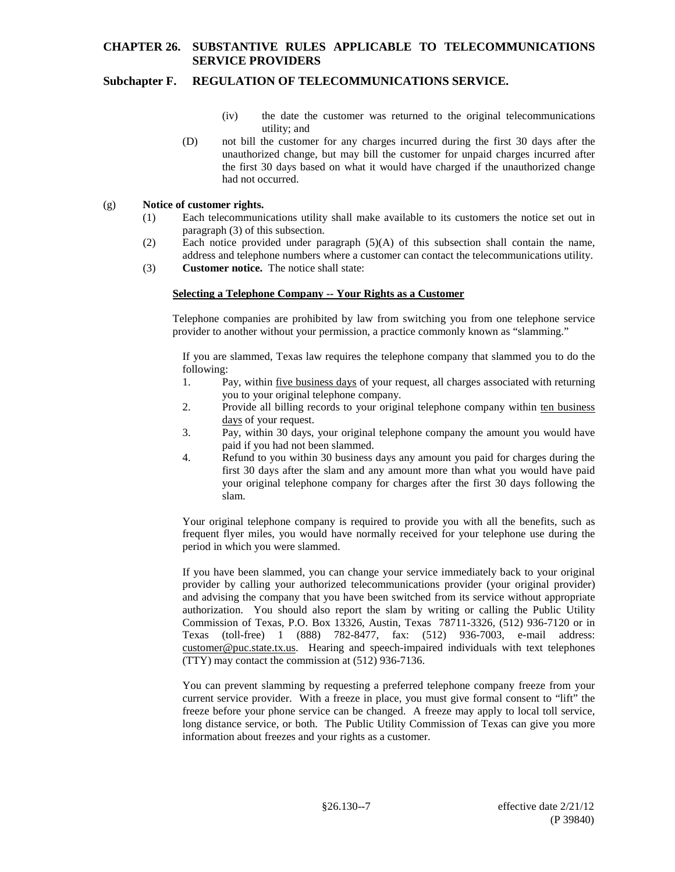## **Subchapter F. REGULATION OF TELECOMMUNICATIONS SERVICE.**

- (iv) the date the customer was returned to the original telecommunications utility; and
- (D) not bill the customer for any charges incurred during the first 30 days after the unauthorized change, but may bill the customer for unpaid charges incurred after the first 30 days based on what it would have charged if the unauthorized change had not occurred.

#### (g) **Notice of customer rights.**

- (1) Each telecommunications utility shall make available to its customers the notice set out in paragraph (3) of this subsection.
- (2) Each notice provided under paragraph (5)(A) of this subsection shall contain the name, address and telephone numbers where a customer can contact the telecommunications utility.
- (3) **Customer notice.** The notice shall state:

#### **Selecting a Telephone Company -- Your Rights as a Customer**

Telephone companies are prohibited by law from switching you from one telephone service provider to another without your permission, a practice commonly known as "slamming."

If you are slammed, Texas law requires the telephone company that slammed you to do the following:

- 1. Pay, within five business days of your request, all charges associated with returning you to your original telephone company.
- 2. Provide all billing records to your original telephone company within ten business days of your request.
- 3. Pay, within 30 days, your original telephone company the amount you would have paid if you had not been slammed.
- 4. Refund to you within 30 business days any amount you paid for charges during the first 30 days after the slam and any amount more than what you would have paid your original telephone company for charges after the first 30 days following the slam.

Your original telephone company is required to provide you with all the benefits, such as frequent flyer miles, you would have normally received for your telephone use during the period in which you were slammed.

If you have been slammed, you can change your service immediately back to your original provider by calling your authorized telecommunications provider (your original provider) and advising the company that you have been switched from its service without appropriate authorization. You should also report the slam by writing or calling the Public Utility Commission of Texas, P.O. Box 13326, Austin, Texas 78711-3326, (512) 936-7120 or in Texas (toll-free) 1 (888) 782-8477, fax: (512) 936-7003, e-mail address: customer@puc.state.tx.us. Hearing and speech-impaired individuals with text telephones (TTY) may contact the commission at (512) 936-7136.

You can prevent slamming by requesting a preferred telephone company freeze from your current service provider. With a freeze in place, you must give formal consent to "lift" the freeze before your phone service can be changed. A freeze may apply to local toll service, long distance service, or both. The Public Utility Commission of Texas can give you more information about freezes and your rights as a customer.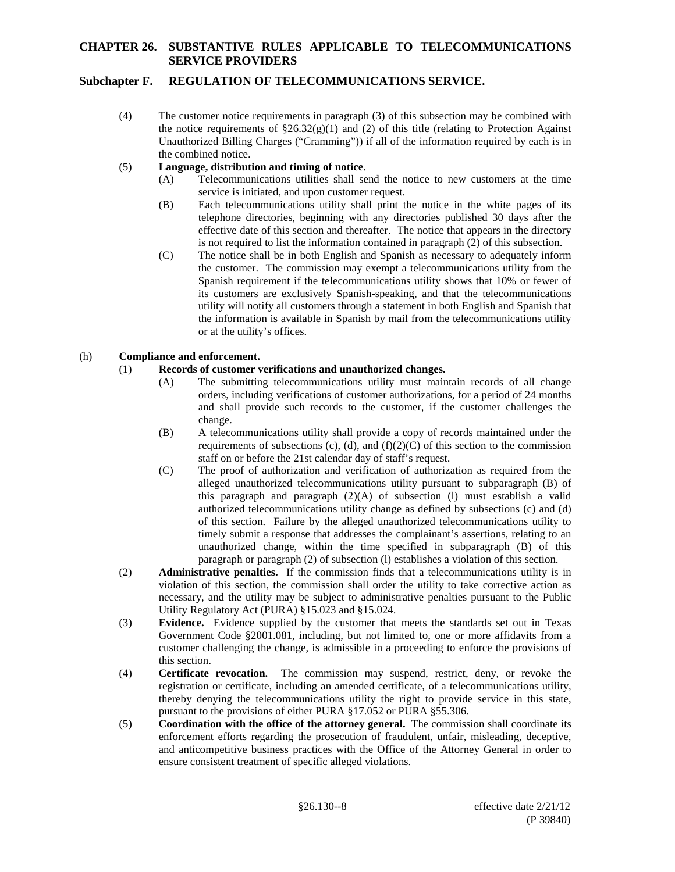## **Subchapter F. REGULATION OF TELECOMMUNICATIONS SERVICE.**

(4) The customer notice requirements in paragraph (3) of this subsection may be combined with the notice requirements of  $\S 26.32(g)(1)$  and (2) of this title (relating to Protection Against Unauthorized Billing Charges ("Cramming")) if all of the information required by each is in the combined notice.

### (5) **Language, distribution and timing of notice**.

- (A) Telecommunications utilities shall send the notice to new customers at the time service is initiated, and upon customer request.
- (B) Each telecommunications utility shall print the notice in the white pages of its telephone directories, beginning with any directories published 30 days after the effective date of this section and thereafter. The notice that appears in the directory is not required to list the information contained in paragraph (2) of this subsection.
- (C) The notice shall be in both English and Spanish as necessary to adequately inform the customer. The commission may exempt a telecommunications utility from the Spanish requirement if the telecommunications utility shows that 10% or fewer of its customers are exclusively Spanish-speaking, and that the telecommunications utility will notify all customers through a statement in both English and Spanish that the information is available in Spanish by mail from the telecommunications utility or at the utility's offices.

### (h) **Compliance and enforcement.**

## (1) **Records of customer verifications and unauthorized changes.**

- (A) The submitting telecommunications utility must maintain records of all change orders, including verifications of customer authorizations, for a period of 24 months and shall provide such records to the customer, if the customer challenges the change.
- (B) A telecommunications utility shall provide a copy of records maintained under the requirements of subsections (c), (d), and  $(f)(2)(C)$  of this section to the commission staff on or before the 21st calendar day of staff's request.
- (C) The proof of authorization and verification of authorization as required from the alleged unauthorized telecommunications utility pursuant to subparagraph (B) of this paragraph and paragraph (2)(A) of subsection (l) must establish a valid authorized telecommunications utility change as defined by subsections (c) and (d) of this section. Failure by the alleged unauthorized telecommunications utility to timely submit a response that addresses the complainant's assertions, relating to an unauthorized change, within the time specified in subparagraph (B) of this paragraph or paragraph (2) of subsection (l) establishes a violation of this section.
- (2) **Administrative penalties.** If the commission finds that a telecommunications utility is in violation of this section, the commission shall order the utility to take corrective action as necessary, and the utility may be subject to administrative penalties pursuant to the Public Utility Regulatory Act (PURA) §15.023 and §15.024.
- (3) **Evidence.** Evidence supplied by the customer that meets the standards set out in Texas Government Code §2001.081, including, but not limited to, one or more affidavits from a customer challenging the change, is admissible in a proceeding to enforce the provisions of this section.
- (4) **Certificate revocation.** The commission may suspend, restrict, deny, or revoke the registration or certificate, including an amended certificate, of a telecommunications utility, thereby denying the telecommunications utility the right to provide service in this state, pursuant to the provisions of either PURA §17.052 or PURA §55.306.
- (5) **Coordination with the office of the attorney general.** The commission shall coordinate its enforcement efforts regarding the prosecution of fraudulent, unfair, misleading, deceptive, and anticompetitive business practices with the Office of the Attorney General in order to ensure consistent treatment of specific alleged violations.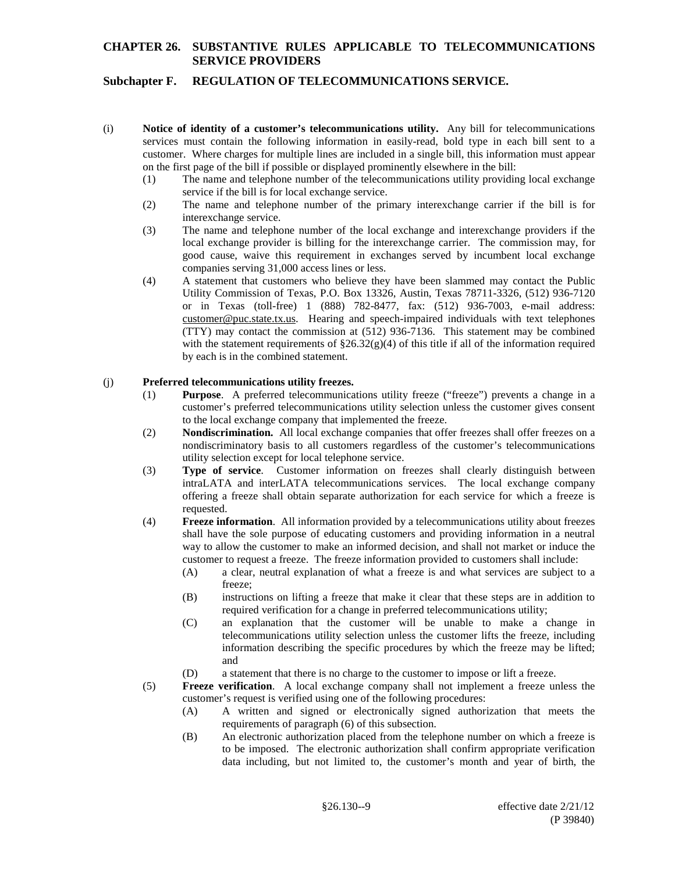# **Subchapter F. REGULATION OF TELECOMMUNICATIONS SERVICE.**

- (i) **Notice of identity of a customer's telecommunications utility.** Any bill for telecommunications services must contain the following information in easily-read, bold type in each bill sent to a customer. Where charges for multiple lines are included in a single bill, this information must appear on the first page of the bill if possible or displayed prominently elsewhere in the bill:
	- (1) The name and telephone number of the telecommunications utility providing local exchange service if the bill is for local exchange service.
	- (2) The name and telephone number of the primary interexchange carrier if the bill is for interexchange service.
	- (3) The name and telephone number of the local exchange and interexchange providers if the local exchange provider is billing for the interexchange carrier. The commission may, for good cause, waive this requirement in exchanges served by incumbent local exchange companies serving 31,000 access lines or less.
	- (4) A statement that customers who believe they have been slammed may contact the Public Utility Commission of Texas, P.O. Box 13326, Austin, Texas 78711-3326, (512) 936-7120 or in Texas (toll-free) 1 (888) 782-8477, fax: (512) 936-7003, e-mail address: customer@puc.state.tx.us. Hearing and speech-impaired individuals with text telephones (TTY) may contact the commission at (512) 936-7136. This statement may be combined with the statement requirements of  $\S26.32(g)(4)$  of this title if all of the information required by each is in the combined statement.

#### (j) **Preferred telecommunications utility freezes.**

- (1) **Purpose**. A preferred telecommunications utility freeze ("freeze") prevents a change in a customer's preferred telecommunications utility selection unless the customer gives consent to the local exchange company that implemented the freeze.
- (2) **Nondiscrimination.** All local exchange companies that offer freezes shall offer freezes on a nondiscriminatory basis to all customers regardless of the customer's telecommunications utility selection except for local telephone service.
- (3) **Type of service**. Customer information on freezes shall clearly distinguish between intraLATA and interLATA telecommunications services. The local exchange company offering a freeze shall obtain separate authorization for each service for which a freeze is requested.
- (4) **Freeze information**. All information provided by a telecommunications utility about freezes shall have the sole purpose of educating customers and providing information in a neutral way to allow the customer to make an informed decision, and shall not market or induce the customer to request a freeze. The freeze information provided to customers shall include:
	- (A) a clear, neutral explanation of what a freeze is and what services are subject to a freeze;
	- (B) instructions on lifting a freeze that make it clear that these steps are in addition to required verification for a change in preferred telecommunications utility;
	- (C) an explanation that the customer will be unable to make a change in telecommunications utility selection unless the customer lifts the freeze, including information describing the specific procedures by which the freeze may be lifted; and
	- (D) a statement that there is no charge to the customer to impose or lift a freeze.
- (5) **Freeze verification**. A local exchange company shall not implement a freeze unless the customer's request is verified using one of the following procedures:
	- (A) A written and signed or electronically signed authorization that meets the requirements of paragraph (6) of this subsection.
	- (B) An electronic authorization placed from the telephone number on which a freeze is to be imposed. The electronic authorization shall confirm appropriate verification data including, but not limited to, the customer's month and year of birth, the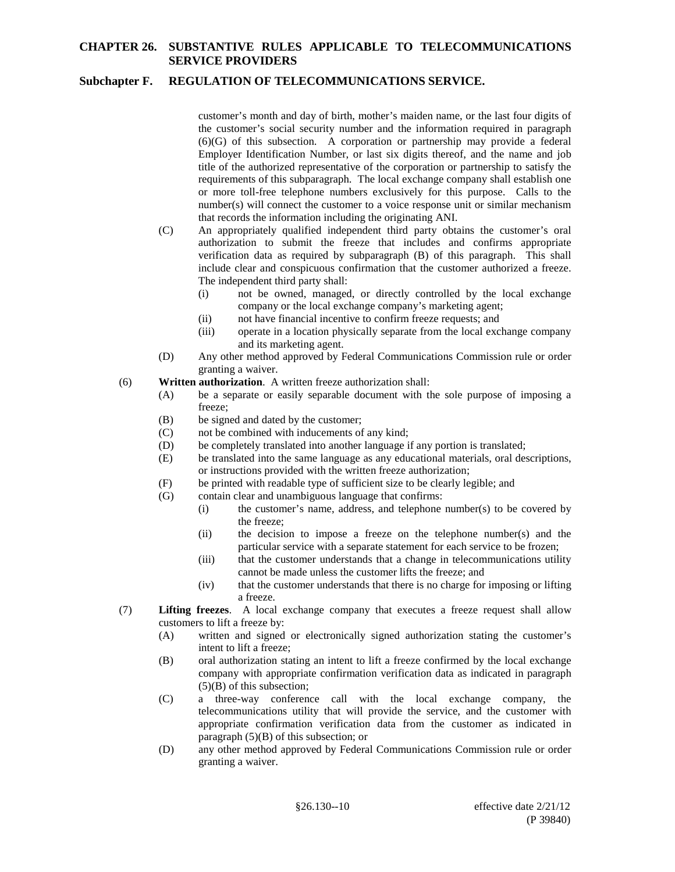## **Subchapter F. REGULATION OF TELECOMMUNICATIONS SERVICE.**

customer's month and day of birth, mother's maiden name, or the last four digits of the customer's social security number and the information required in paragraph (6)(G) of this subsection. A corporation or partnership may provide a federal Employer Identification Number, or last six digits thereof, and the name and job title of the authorized representative of the corporation or partnership to satisfy the requirements of this subparagraph. The local exchange company shall establish one or more toll-free telephone numbers exclusively for this purpose. Calls to the number(s) will connect the customer to a voice response unit or similar mechanism that records the information including the originating ANI.

- (C) An appropriately qualified independent third party obtains the customer's oral authorization to submit the freeze that includes and confirms appropriate verification data as required by subparagraph (B) of this paragraph. This shall include clear and conspicuous confirmation that the customer authorized a freeze. The independent third party shall:
	- (i) not be owned, managed, or directly controlled by the local exchange company or the local exchange company's marketing agent;
	- (ii) not have financial incentive to confirm freeze requests; and
	- (iii) operate in a location physically separate from the local exchange company and its marketing agent.
- (D) Any other method approved by Federal Communications Commission rule or order granting a waiver.
- (6) **Written authorization**. A written freeze authorization shall:
	- (A) be a separate or easily separable document with the sole purpose of imposing a freeze;
	- (B) be signed and dated by the customer;
	- (C) not be combined with inducements of any kind;
	- (D) be completely translated into another language if any portion is translated;
	- (E) be translated into the same language as any educational materials, oral descriptions, or instructions provided with the written freeze authorization;
	- (F) be printed with readable type of sufficient size to be clearly legible; and
	- (G) contain clear and unambiguous language that confirms:
		- (i) the customer's name, address, and telephone number(s) to be covered by the freeze;
		- (ii) the decision to impose a freeze on the telephone number(s) and the particular service with a separate statement for each service to be frozen;
		- (iii) that the customer understands that a change in telecommunications utility cannot be made unless the customer lifts the freeze; and
		- (iv) that the customer understands that there is no charge for imposing or lifting a freeze.
- (7) **Lifting freezes**. A local exchange company that executes a freeze request shall allow customers to lift a freeze by:
	- (A) written and signed or electronically signed authorization stating the customer's intent to lift a freeze;
	- (B) oral authorization stating an intent to lift a freeze confirmed by the local exchange company with appropriate confirmation verification data as indicated in paragraph (5)(B) of this subsection;
	- (C) a three-way conference call with the local exchange company, the telecommunications utility that will provide the service, and the customer with appropriate confirmation verification data from the customer as indicated in paragraph (5)(B) of this subsection; or
	- (D) any other method approved by Federal Communications Commission rule or order granting a waiver.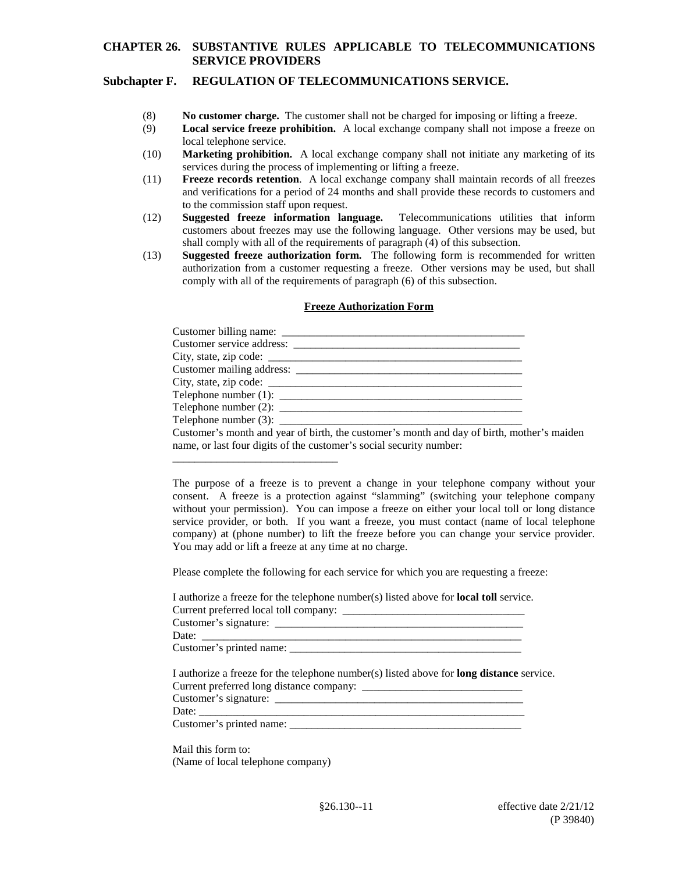#### **Subchapter F. REGULATION OF TELECOMMUNICATIONS SERVICE.**

- (8) **No customer charge.** The customer shall not be charged for imposing or lifting a freeze.
- (9) **Local service freeze prohibition.** A local exchange company shall not impose a freeze on local telephone service.
- (10) **Marketing prohibition.** A local exchange company shall not initiate any marketing of its services during the process of implementing or lifting a freeze.
- (11) **Freeze records retention**. A local exchange company shall maintain records of all freezes and verifications for a period of 24 months and shall provide these records to customers and to the commission staff upon request.
- (12) **Suggested freeze information language.** Telecommunications utilities that inform customers about freezes may use the following language. Other versions may be used, but shall comply with all of the requirements of paragraph (4) of this subsection.
- (13) **Suggested freeze authorization form.** The following form is recommended for written authorization from a customer requesting a freeze. Other versions may be used, but shall comply with all of the requirements of paragraph (6) of this subsection.

#### **Freeze Authorization Form**

| Telephone number (1): $\frac{1}{2}$ $\frac{1}{2}$ $\frac{1}{2}$ $\frac{1}{2}$ $\frac{1}{2}$ $\frac{1}{2}$ $\frac{1}{2}$ $\frac{1}{2}$ $\frac{1}{2}$ $\frac{1}{2}$ $\frac{1}{2}$ $\frac{1}{2}$ $\frac{1}{2}$ $\frac{1}{2}$ $\frac{1}{2}$ $\frac{1}{2}$ $\frac{1}{2}$ $\frac{1}{2}$ $\frac{1}{2}$ $\frac{1}{2}$ |  |
|---------------------------------------------------------------------------------------------------------------------------------------------------------------------------------------------------------------------------------------------------------------------------------------------------------------|--|
|                                                                                                                                                                                                                                                                                                               |  |
|                                                                                                                                                                                                                                                                                                               |  |
| Customer's month and year of birth, the customer's month and day of birth, mother's maiden                                                                                                                                                                                                                    |  |
| name, or last four digits of the customer's social security number:                                                                                                                                                                                                                                           |  |

The purpose of a freeze is to prevent a change in your telephone company without your consent. A freeze is a protection against "slamming" (switching your telephone company without your permission). You can impose a freeze on either your local toll or long distance service provider, or both. If you want a freeze, you must contact (name of local telephone company) at (phone number) to lift the freeze before you can change your service provider. You may add or lift a freeze at any time at no charge.

Please complete the following for each service for which you are requesting a freeze:

| I authorize a freeze for the telephone number(s) listed above for <b>local toll</b> service.    |  |
|-------------------------------------------------------------------------------------------------|--|
|                                                                                                 |  |
|                                                                                                 |  |
|                                                                                                 |  |
| I authorize a freeze for the telephone number(s) listed above for <b>long distance</b> service. |  |
|                                                                                                 |  |
|                                                                                                 |  |
|                                                                                                 |  |
|                                                                                                 |  |

Customer's printed name: \_\_\_\_\_\_\_\_\_\_\_\_\_\_\_\_\_\_\_\_\_\_\_\_\_\_\_\_\_\_\_\_\_\_\_\_\_\_\_\_\_\_

Mail this form to: (Name of local telephone company)

\_\_\_\_\_\_\_\_\_\_\_\_\_\_\_\_\_\_\_\_\_\_\_\_\_\_\_\_\_\_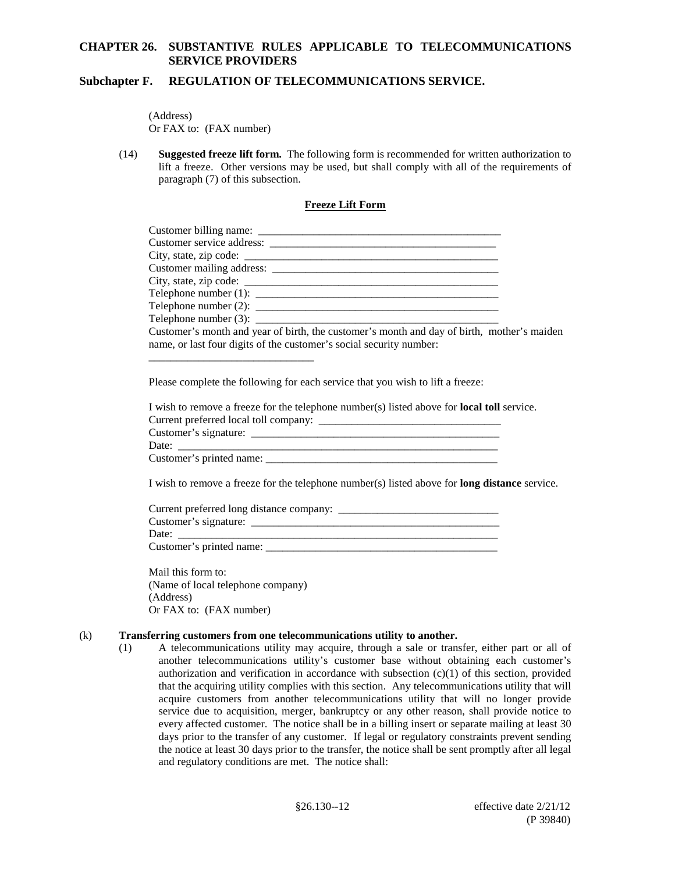### **Subchapter F. REGULATION OF TELECOMMUNICATIONS SERVICE.**

(Address) Or FAX to: (FAX number)

(14) **Suggested freeze lift form.** The following form is recommended for written authorization to lift a freeze. Other versions may be used, but shall comply with all of the requirements of paragraph (7) of this subsection.

### **Freeze Lift Form**

| Telephone number $(2)$ :                                                                   |  |
|--------------------------------------------------------------------------------------------|--|
| Telephone number (3): $\qquad \qquad$                                                      |  |
| Customer's month and year of birth, the customer's month and day of birth, mother's maiden |  |
| name, or last four digits of the customer's social security number:                        |  |
|                                                                                            |  |

Please complete the following for each service that you wish to lift a freeze:

| I wish to remove a freeze for the telephone number(s) listed above for <b>local toll</b> service. |  |
|---------------------------------------------------------------------------------------------------|--|
|                                                                                                   |  |
|                                                                                                   |  |
| Date:                                                                                             |  |
| Customer's printed name:                                                                          |  |

I wish to remove a freeze for the telephone number(s) listed above for **long distance** service.

| Current preferred long distance company: _____ |  |
|------------------------------------------------|--|
| Customer's signature:                          |  |
| Date:                                          |  |
| Customer's printed name:                       |  |

Mail this form to: (Name of local telephone company) (Address) Or FAX to: (FAX number)

#### (k) **Transferring customers from one telecommunications utility to another.**

(1) A telecommunications utility may acquire, through a sale or transfer, either part or all of another telecommunications utility's customer base without obtaining each customer's authorization and verification in accordance with subsection  $(c)(1)$  of this section, provided that the acquiring utility complies with this section. Any telecommunications utility that will acquire customers from another telecommunications utility that will no longer provide service due to acquisition, merger, bankruptcy or any other reason, shall provide notice to every affected customer. The notice shall be in a billing insert or separate mailing at least 30 days prior to the transfer of any customer. If legal or regulatory constraints prevent sending the notice at least 30 days prior to the transfer, the notice shall be sent promptly after all legal and regulatory conditions are met. The notice shall: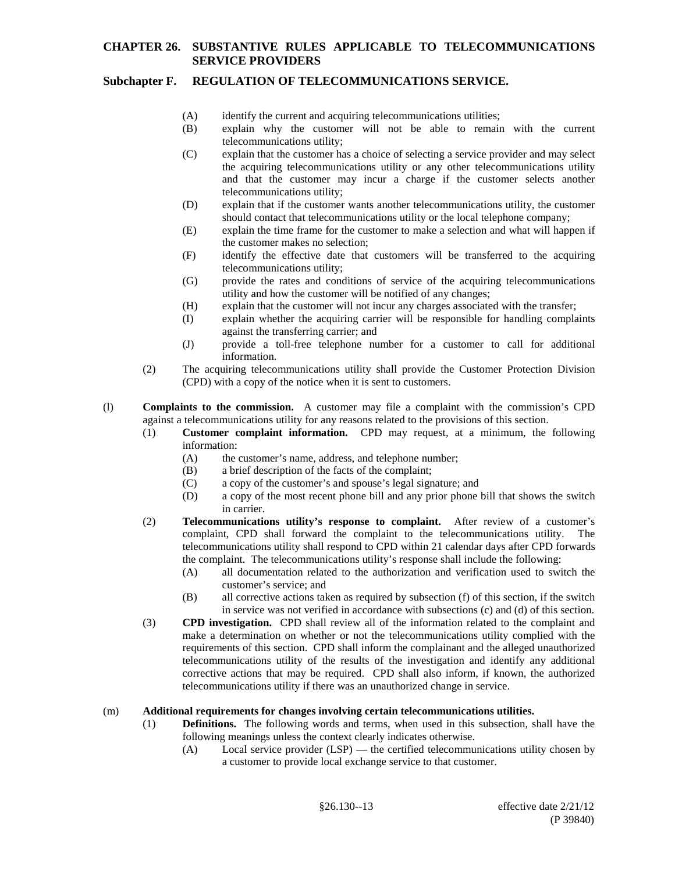## **Subchapter F. REGULATION OF TELECOMMUNICATIONS SERVICE.**

- (A) identify the current and acquiring telecommunications utilities;
- (B) explain why the customer will not be able to remain with the current telecommunications utility;
- (C) explain that the customer has a choice of selecting a service provider and may select the acquiring telecommunications utility or any other telecommunications utility and that the customer may incur a charge if the customer selects another telecommunications utility;
- (D) explain that if the customer wants another telecommunications utility, the customer should contact that telecommunications utility or the local telephone company;
- (E) explain the time frame for the customer to make a selection and what will happen if the customer makes no selection;
- (F) identify the effective date that customers will be transferred to the acquiring telecommunications utility;
- (G) provide the rates and conditions of service of the acquiring telecommunications utility and how the customer will be notified of any changes;
- (H) explain that the customer will not incur any charges associated with the transfer;
- (I) explain whether the acquiring carrier will be responsible for handling complaints against the transferring carrier; and
- (J) provide a toll-free telephone number for a customer to call for additional information.
- (2) The acquiring telecommunications utility shall provide the Customer Protection Division (CPD) with a copy of the notice when it is sent to customers.
- (l) **Complaints to the commission.** A customer may file a complaint with the commission's CPD against a telecommunications utility for any reasons related to the provisions of this section.
	- (1) **Customer complaint information.** CPD may request, at a minimum, the following information:
		- (A) the customer's name, address, and telephone number;
		- (B) a brief description of the facts of the complaint;
		- (C) a copy of the customer's and spouse's legal signature; and
		- (D) a copy of the most recent phone bill and any prior phone bill that shows the switch in carrier.
	- (2) **Telecommunications utility's response to complaint.** After review of a customer's complaint, CPD shall forward the complaint to the telecommunications utility. The telecommunications utility shall respond to CPD within 21 calendar days after CPD forwards the complaint. The telecommunications utility's response shall include the following:
		- (A) all documentation related to the authorization and verification used to switch the customer's service; and
		- (B) all corrective actions taken as required by subsection (f) of this section, if the switch in service was not verified in accordance with subsections (c) and (d) of this section.
	- (3) **CPD investigation.** CPD shall review all of the information related to the complaint and make a determination on whether or not the telecommunications utility complied with the requirements of this section. CPD shall inform the complainant and the alleged unauthorized telecommunications utility of the results of the investigation and identify any additional corrective actions that may be required. CPD shall also inform, if known, the authorized telecommunications utility if there was an unauthorized change in service.

#### (m) **Additional requirements for changes involving certain telecommunications utilities.**

- (1) **Definitions.** The following words and terms, when used in this subsection, shall have the following meanings unless the context clearly indicates otherwise.
	- (A) Local service provider (LSP) the certified telecommunications utility chosen by a customer to provide local exchange service to that customer.